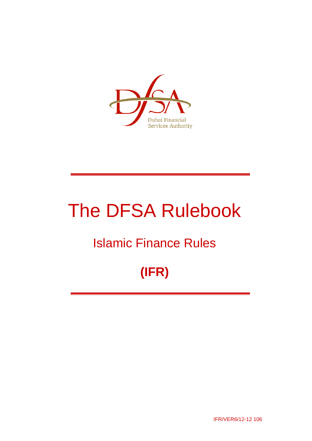

# The DFSA Rulebook

## Islamic Finance Rules

## **(IFR)**

IFR/VER6/12-12 106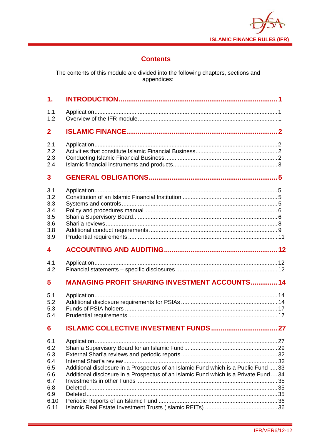

## **Contents**

The contents of this module are divided into the following chapters, sections and<br>appendices:

| 1.                                                   |                                                       |    |
|------------------------------------------------------|-------------------------------------------------------|----|
| 1.1<br>1.2                                           |                                                       |    |
| $\mathbf{2}$                                         |                                                       |    |
| 2.1<br>2.2<br>2.3<br>2.4                             |                                                       |    |
| 3                                                    |                                                       |    |
| 3.1<br>3.2<br>3.3<br>3.4<br>3.5<br>3.6<br>3.8<br>3.9 |                                                       |    |
| 4                                                    |                                                       |    |
|                                                      |                                                       |    |
| 4.1<br>4.2                                           |                                                       |    |
| 5                                                    | <b>MANAGING PROFIT SHARING INVESTMENT ACCOUNTS 14</b> |    |
| 5.1<br>5.2<br>5.3<br>5.4                             |                                                       |    |
| 6 <sup>1</sup>                                       |                                                       | 27 |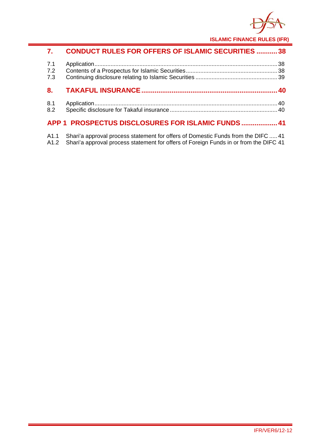

**ISLAMIC FINANCE RULES (IFR)**

## **7. CONDUCT RULES FOR OFFERS OF ISLAMIC SECURITIES ........... 38**

| 7.2 |                      |  |
|-----|----------------------|--|
|     |                      |  |
| 8.1 |                      |  |
| 8.2 |                      |  |
|     | $100 \pm 0.00000000$ |  |

## **APP 1 PROSPECTUS DISCLOSURES FOR ISLAMIC FUNDS ................... 41**

A1.1 Shari'a approval process statement for offers of Domestic Funds from the DIFC ..... 41

A1.2 Shari'a approval process statement for offers of Foreign Funds in or from the DIFC 41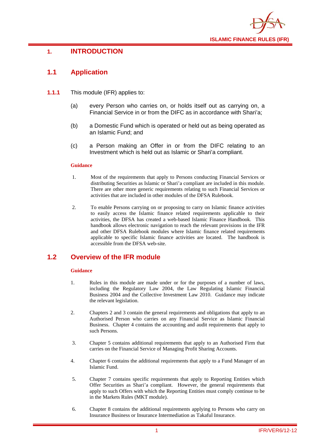

## **1. INTRODUCTION**

## **1.1 Application**

- **1.1.1** This module (IFR) applies to:
	- (a) every Person who carries on, or holds itself out as carrying on, a Financial Service in or from the DIFC as in accordance with Shari'a;
	- (b) a Domestic Fund which is operated or held out as being operated as an Islamic Fund; and
	- (c) a Person making an Offer in or from the DIFC relating to an Investment which is held out as Islamic or Shari'a compliant.

#### **Guidance**

- 1. Most of the requirements that apply to Persons conducting Financial Services or distributing Securities as Islamic or Shari'a compliant are included in this module. There are other more generic requirements relating to such Financial Services or activities that are included in other modules of the DFSA Rulebook.
- 2. To enable Persons carrying on or proposing to carry on Islamic finance activities to easily access the Islamic finance related requirements applicable to their activities, the DFSA has created a web-based Islamic Finance Handbook. This handbook allows electronic navigation to reach the relevant provisions in the IFR and other DFSA Rulebook modules where Islamic finance related requirements applicable to specific Islamic finance activities are located. The handbook is accessible from the DFSA web-site.

## **1.2 Overview of the IFR module**

#### **Guidance**

- 1. Rules in this module are made under or for the purposes of a number of laws, including the Regulatory Law 2004, the Law Regulating Islamic Financial Business 2004 and the Collective Investment Law 2010. Guidance may indicate the relevant legislation.
- 2. Chapters 2 and 3 contain the general requirements and obligations that apply to an Authorised Person who carries on any Financial Service as Islamic Financial Business. Chapter 4 contains the accounting and audit requirements that apply to such Persons.
- 3. Chapter 5 contains additional requirements that apply to an Authorised Firm that carries on the Financial Service of Managing Profit Sharing Accounts.
- 4. Chapter 6 contains the additional requirements that apply to a Fund Manager of an Islamic Fund.
- 5. Chapter 7 contains specific requirements that apply to Reporting Entities which Offer Securities as Shari'a compliant. However, the general requirements that apply to such Offers with which the Reporting Entities must comply continue to be in the Markets Rules (MKT module).
- 6. Chapter 8 contains the additional requirements applying to Persons who carry on Insurance Business or Insurance Intermediation as Takaful Insurance.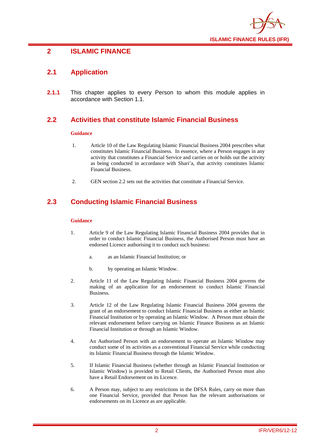

## **2 ISLAMIC FINANCE**

## **2.1 Application**

**2.1.1** This chapter applies to every Person to whom this module applies in accordance with Section 1.1.

## **2.2 Activities that constitute Islamic Financial Business**

#### **Guidance**

- 1. Article 10 of the Law Regulating Islamic Financial Business 2004 prescribes what constitutes Islamic Financial Business. In essence, where a Person engages in any activity that constitutes a Financial Service and carries on or holds out the activity as being conducted in accordance with Shari'a, that activity constitutes Islamic Financial Business.
- 2. GEN section 2.2 sets out the activities that constitute a Financial Service.

## **2.3 Conducting Islamic Financial Business**

#### **Guidance**

- 1. Article 9 of the Law Regulating Islamic Financial Business 2004 provides that in order to conduct Islamic Financial Business, the Authorised Person must have an endorsed Licence authorising it to conduct such business:
	- a. as an Islamic Financial Institution; or
	- b. by operating an Islamic Window.
- 2. Article 11 of the Law Regulating Islamic Financial Business 2004 governs the making of an application for an endorsement to conduct Islamic Financial Business.
- 3. Article 12 of the Law Regulating Islamic Financial Business 2004 governs the grant of an endorsement to conduct Islamic Financial Business as either an Islamic Financial Institution or by operating an Islamic Window. A Person must obtain the relevant endorsement before carrying on Islamic Finance Business as an Islamic Financial Institution or through an Islamic Window.
- 4. An Authorised Person with an endorsement to operate an Islamic Window may conduct some of its activities as a conventional Financial Service while conducting its Islamic Financial Business through the Islamic Window.
- 5. If Islamic Financial Business (whether through an Islamic Financial Institution or Islamic Window) is provided to Retail Clients, the Authorised Person must also have a Retail Endorsement on its Licence.
- 6. A Person may, subject to any restrictions in the DFSA Rules, carry on more than one Financial Service, provided that Person has the relevant authorisations or endorsements on its Licence as are applicable.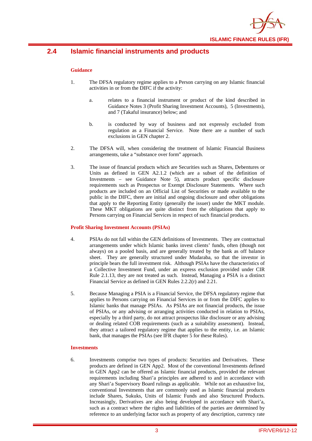

## **2.4 Islamic financial instruments and products**

#### **Guidance**

- 1. The DFSA regulatory regime applies to a Person carrying on any Islamic financial activities in or from the DIFC if the activity:
	- a. relates to a financial instrument or product of the kind described in Guidance Notes 3 (Profit Sharing Investment Accounts), 5 (Investments), and 7 (Takaful insurance) below; and
	- b. is conducted by way of business and not expressly excluded from regulation as a Financial Service. Note there are a number of such exclusions in GEN chapter 2.
- 2. The DFSA will, when considering the treatment of Islamic Financial Business arrangements, take a "substance over form" approach.
- 3. The issue of financial products which are Securities such as Shares, Debentures or Units as defined in GEN A2.1.2 (which are a subset of the definition of Investments – see Guidance Note 5), attracts product specific disclosure requirements such as Prospectus or Exempt Disclosure Statements. Where such products are included on an Official List of Securities or made available to the public in the DIFC, there are initial and ongoing disclosure and other obligations that apply to the Reporting Entity (generally the issuer) under the MKT module. These MKT obligations are quite distinct from the obligations that apply to Persons carrying on Financial Services in respect of such financial products.

#### **Profit Sharing Investment Accounts (PSIAs)**

- 4. PSIAs do not fall within the GEN definitions of Investments. They are contractual arrangements under which Islamic banks invest clients' funds, often (though not always) on a pooled basis, and are generally treated by the bank as off balance sheet. They are generally structured under Mudaraba, so that the investor in principle bears the full investment risk. Although PSIAs have the characteristics of a Collective Investment Fund, under an express exclusion provided under CIR Rule 2.1.13, they are not treated as such. Instead, Managing a PSIA is a distinct Financial Service as defined in GEN Rules 2.2.2(r) and 2.21.
- 5. Because Managing a PSIA is a Financial Service, the DFSA regulatory regime that applies to Persons carrying on Financial Services in or from the DIFC applies to Islamic banks that manage PSIAs. As PSIAs are not financial products, the issue of PSIAs, or any advising or arranging activities conducted in relation to PSIAs, especially by a third party, do not attract prospectus like disclosure or any advising or dealing related COB requirements (such as a suitability assessment). Instead, they attract a tailored regulatory regime that applies to the entity, i.e. an Islamic bank, that manages the PSIAs (see IFR chapter 5 for these Rules).

#### **Investments**

6. Investments comprise two types of products: Securities and Derivatives. These products are defined in GEN App2. Most of the conventional Investments defined in GEN App2 can be offered as Islamic financial products, provided the relevant requirements including Shari'a principles are adhered to and in accordance with any Shari'a Supervisory Board rulings as applicable. While not an exhaustive list, conventional Investments that are commonly used as Islamic financial products include Shares, Sukuks, Units of Islamic Funds and also Structured Products. Increasingly, Derivatives are also being developed in accordance with Shari'a, such as a contract where the rights and liabilities of the parties are determined by reference to an underlying factor such as property of any description, currency rate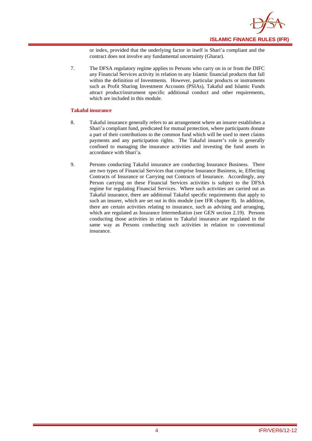

or index, provided that the underlying factor in itself is Shari'a compliant and the contract does not involve any fundamental uncertainty (Gharar).

7. The DFSA regulatory regime applies to Persons who carry on in or from the DIFC any Financial Services activity in relation to any Islamic financial products that fall within the definition of Investments. However, particular products or instruments such as Profit Sharing Investment Accounts (PSIAs), Takaful and Islamic Funds attract product/instrument specific additional conduct and other requirements, which are included in this module.

#### **Takaful insurance**

- 8. Takaful insurance generally refers to an arrangement where an insurer establishes a Shari'a compliant fund, predicated for mutual protection, where participants donate a part of their contributions to the common fund which will be used to meet claims payments and any participation rights. The Takaful insurer's role is generally confined to managing the insurance activities and investing the fund assets in accordance with Shari'a.
- 9. Persons conducting Takaful insurance are conducting Insurance Business. There are two types of Financial Services that comprise Insurance Business, ie, Effecting Contracts of Insurance or Carrying out Contracts of Insurance. Accordingly, any Person carrying on these Financial Services activities is subject to the DFSA regime for regulating Financial Services. Where such activities are carried out as Takaful insurance, there are additional Takaful specific requirements that apply to such an insurer, which are set out in this module (see IFR chapter 8). In addition, there are certain activities relating to insurance, such as advising and arranging, which are regulated as Insurance Intermediation (see GEN section 2.19). Persons conducting those activities in relation to Takaful insurance are regulated in the same way as Persons conducting such activities in relation to conventional insurance.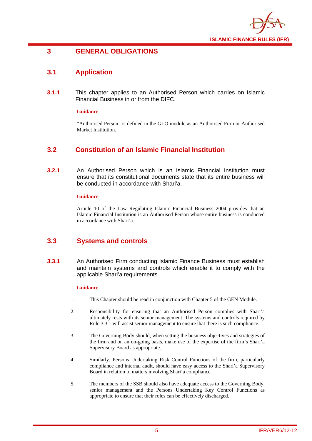

## **3 GENERAL OBLIGATIONS**

## **3.1 Application**

**3.1.1** This chapter applies to an Authorised Person which carries on Islamic Financial Business in or from the DIFC.

#### **Guidance**

"Authorised Person" is defined in the GLO module as an Authorised Firm or Authorised Market Institution.

## **3.2 Constitution of an Islamic Financial Institution**

**3.2.1** An Authorised Person which is an Islamic Financial Institution must ensure that its constitutional documents state that its entire business will be conducted in accordance with Shari'a.

#### **Guidance**

Article 10 of the Law Regulating Islamic Financial Business 2004 provides that an Islamic Financial Institution is an Authorised Person whose entire business is conducted in accordance with Shari'a.

## **3.3 Systems and controls**

**3.3.1** An Authorised Firm conducting Islamic Finance Business must establish and maintain systems and controls which enable it to comply with the applicable Shari'a requirements.

#### **Guidance**

- 1. This Chapter should be read in conjunction with Chapter 5 of the GEN Module.
- 2. Responsibility for ensuring that an Authorised Person complies with Shari'a ultimately rests with its senior management. The systems and controls required by Rule 3.3.1 will assist senior management to ensure that there is such compliance.
- 3. The Governing Body should, when setting the business objectives and strategies of the firm and on an on-going basis, make use of the expertise of the firm's Shari'a Supervisory Board as appropriate.
- 4. Similarly, Persons Undertaking Risk Control Functions of the firm, particularly compliance and internal audit, should have easy access to the Shari'a Supervisory Board in relation to matters involving Shari'a compliance.
- 5. The members of the SSB should also have adequate access to the Governing Body, senior management and the Persons Undertaking Key Control Functions as appropriate to ensure that their roles can be effectively discharged.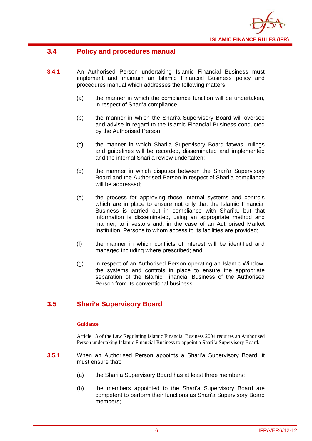

## **3.4 Policy and procedures manual**

- **3.4.1** An Authorised Person undertaking Islamic Financial Business must implement and maintain an Islamic Financial Business policy and procedures manual which addresses the following matters:
	- (a) the manner in which the compliance function will be undertaken, in respect of Shari'a compliance;
	- (b) the manner in which the Shari'a Supervisory Board will oversee and advise in regard to the Islamic Financial Business conducted by the Authorised Person;
	- (c) the manner in which Shari'a Supervisory Board fatwas, rulings and guidelines will be recorded, disseminated and implemented and the internal Shari'a review undertaken;
	- (d) the manner in which disputes between the Shari'a Supervisory Board and the Authorised Person in respect of Shari'a compliance will be addressed;
	- (e) the process for approving those internal systems and controls which are in place to ensure not only that the Islamic Financial Business is carried out in compliance with Shari'a, but that information is disseminated, using an appropriate method and manner, to investors and, in the case of an Authorised Market Institution, Persons to whom access to its facilities are provided;
	- (f) the manner in which conflicts of interest will be identified and managed including where prescribed; and
	- (g) in respect of an Authorised Person operating an Islamic Window, the systems and controls in place to ensure the appropriate separation of the Islamic Financial Business of the Authorised Person from its conventional business.

## **3.5 Shari'a Supervisory Board**

#### **Guidance**

Article 13 of the Law Regulating Islamic Financial Business 2004 requires an Authorised Person undertaking Islamic Financial Business to appoint a Shari'a Supervisory Board.

- **3.5.1** When an Authorised Person appoints a Shari'a Supervisory Board, it must ensure that:
	- (a) the Shari'a Supervisory Board has at least three members;
	- (b) the members appointed to the Shari'a Supervisory Board are competent to perform their functions as Shari'a Supervisory Board members;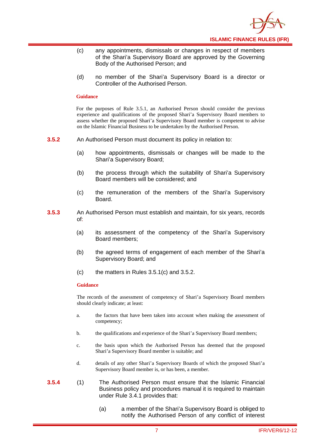

- (c) any appointments, dismissals or changes in respect of members of the Shari'a Supervisory Board are approved by the Governing Body of the Authorised Person; and
- (d) no member of the Shari'a Supervisory Board is a director or Controller of the Authorised Person.

#### **Guidance**

For the purposes of Rule 3.5.1, an Authorised Person should consider the previous experience and qualifications of the proposed Shari'a Supervisory Board members to assess whether the proposed Shari'a Supervisory Board member is competent to advise on the Islamic Financial Business to be undertaken by the Authorised Person.

- **3.5.2** An Authorised Person must document its policy in relation to:
	- (a) how appointments, dismissals or changes will be made to the Shari'a Supervisory Board;
	- (b) the process through which the suitability of Shari'a Supervisory Board members will be considered; and
	- (c) the remuneration of the members of the Shari'a Supervisory Board.
- **3.5.3** An Authorised Person must establish and maintain, for six years, records of:
	- (a) its assessment of the competency of the Shari'a Supervisory Board members;
	- (b) the agreed terms of engagement of each member of the Shari'a Supervisory Board; and
	- $(c)$  the matters in Rules 3.5.1 $(c)$  and 3.5.2.

#### **Guidance**

The records of the assessment of competency of Shari'a Supervisory Board members should clearly indicate; at least:

- a. the factors that have been taken into account when making the assessment of competency;
- b. the qualifications and experience of the Shari'a Supervisory Board members;
- c. the basis upon which the Authorised Person has deemed that the proposed Shari'a Supervisory Board member is suitable; and
- d. details of any other Shari'a Supervisory Boards of which the proposed Shari'a Supervisory Board member is, or has been, a member.
- **3.5.4** (1) The Authorised Person must ensure that the Islamic Financial Business policy and procedures manual it is required to maintain under Rule 3.4.1 provides that:
	- (a) a member of the Shari'a Supervisory Board is obliged to notify the Authorised Person of any conflict of interest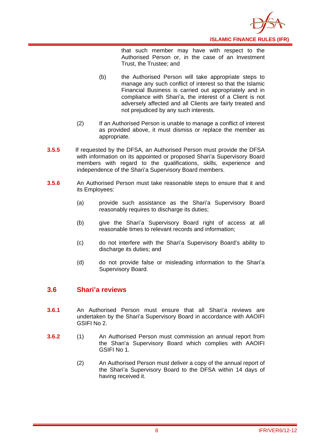

that such member may have with respect to the Authorised Person or, in the case of an Investment Trust, the Trustee; and

- (b) the Authorised Person will take appropriate steps to manage any such conflict of interest so that the Islamic Financial Business is carried out appropriately and in compliance with Shari'a, the interest of a Client is not adversely affected and all Clients are fairly treated and not prejudiced by any such interests.
- (2) If an Authorised Person is unable to manage a conflict of interest as provided above, it must dismiss or replace the member as appropriate.
- **3.5.5** If requested by the DFSA, an Authorised Person must provide the DFSA with information on its appointed or proposed Shari'a Supervisory Board members with regard to the qualifications, skills, experience and independence of the Shari'a Supervisory Board members.
- **3.5.6** An Authorised Person must take reasonable steps to ensure that it and its Employees:
	- (a) provide such assistance as the Shari'a Supervisory Board reasonably requires to discharge its duties;
	- (b) give the Shari'a Supervisory Board right of access at all reasonable times to relevant records and information;
	- (c) do not interfere with the Shari'a Supervisory Board's ability to discharge its duties; and
	- (d) do not provide false or misleading information to the Shari'a Supervisory Board.

## **3.6 Shari'a reviews**

- **3.6.1** An Authorised Person must ensure that all Shari'a reviews are undertaken by the Shari'a Supervisory Board in accordance with AAOIFI GSIFI No 2.
- **3.6.2** (1) An Authorised Person must commission an annual report from the Shari'a Supervisory Board which complies with AAOIFI GSIFI No 1.
	- (2) An Authorised Person must deliver a copy of the annual report of the Shari'a Supervisory Board to the DFSA within 14 days of having received it.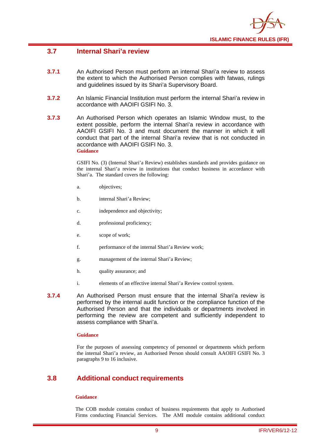

## **3.7 Internal Shari'a review**

- **3.7.1** An Authorised Person must perform an internal Shari'a review to assess the extent to which the Authorised Person complies with fatwas, rulings and guidelines issued by its Shari'a Supervisory Board.
- **3.7.2** An Islamic Financial Institution must perform the internal Shari'a review in accordance with AAOIFI GSIFI No. 3.
- **3.7.3** An Authorised Person which operates an Islamic Window must, to the extent possible, perform the internal Shari'a review in accordance with AAOIFI GSIFI No. 3 and must document the manner in which it will conduct that part of the internal Shari'a review that is not conducted in accordance with AAOIFI GSIFI No. 3. **Guidance**

GSIFI No. (3) (Internal Shari'a Review) establishes standards and provides guidance on the internal Shari'a review in institutions that conduct business in accordance with Shari'a. The standard covers the following:

- a. objectives;
- b. internal Shari'a Review;
- c. independence and objectivity;
- d. professional proficiency;
- e. scope of work;
- f. performance of the internal Shari'a Review work;
- g. management of the internal Shari'a Review;
- h. quality assurance; and
- i. elements of an effective internal Shari'a Review control system.
- **3.7.4** An Authorised Person must ensure that the internal Shari'a review is performed by the internal audit function or the compliance function of the Authorised Person and that the individuals or departments involved in performing the review are competent and sufficiently independent to assess compliance with Shari'a.

#### **Guidance**

For the purposes of assessing competency of personnel or departments which perform the internal Shari'a review, an Authorised Person should consult AAOIFI GSIFI No. 3 paragraphs 9 to 16 inclusive.

## **3.8 Additional conduct requirements**

#### **Guidance**

The COB module contains conduct of business requirements that apply to Authorised Firms conducting Financial Services. The AMI module contains additional conduct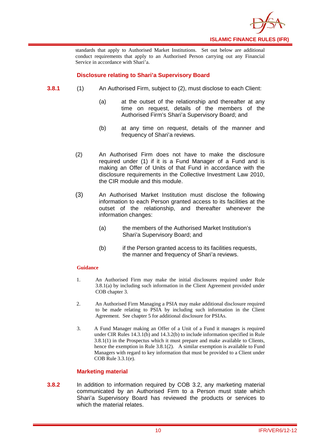

standards that apply to Authorised Market Institutions. Set out below are additional conduct requirements that apply to an Authorised Person carrying out any Financial Service in accordance with Shari'a.

#### **Disclosure relating to Shari'a Supervisory Board**

- **3.8.1** (1) An Authorised Firm, subject to (2), must disclose to each Client:
	- (a) at the outset of the relationship and thereafter at any time on request, details of the members of the Authorised Firm's Shari'a Supervisory Board; and
	- (b) at any time on request, details of the manner and frequency of Shari'a reviews.
	- (2) An Authorised Firm does not have to make the disclosure required under (1) if it is a Fund Manager of a Fund and is making an Offer of Units of that Fund in accordance with the disclosure requirements in the Collective Investment Law 2010, the CIR module and this module.
	- (3) An Authorised Market Institution must disclose the following information to each Person granted access to its facilities at the outset of the relationship, and thereafter whenever the information changes:
		- (a) the members of the Authorised Market Institution's Shari'a Supervisory Board; and
		- (b) if the Person granted access to its facilities requests, the manner and frequency of Shari'a reviews.

#### **Guidance**

- 1. An Authorised Firm may make the initial disclosures required under Rule 3.8.1(a) by including such information in the Client Agreement provided under COB chapter 3.
- 2. An Authorised Firm Managing a PSIA may make additional disclosure required to be made relating to PSIA by including such information in the Client Agreement. See chapter 5 for additional disclosure for PSIAs.
- 3. A Fund Manager making an Offer of a Unit of a Fund it manages is required under CIR Rules 14.3.1(b) and 14.3.2(b) to include information specified in Rule 3.8.1(1) in the Prospectus which it must prepare and make available to Clients, hence the exemption in Rule 3.8.1(2). A similar exemption is available to Fund Managers with regard to key information that must be provided to a Client under COB Rule 3.3.1(e).

#### **Marketing material**

**3.8.2** In addition to information required by COB 3.2, any marketing material communicated by an Authorised Firm to a Person must state which Shari'a Supervisory Board has reviewed the products or services to which the material relates.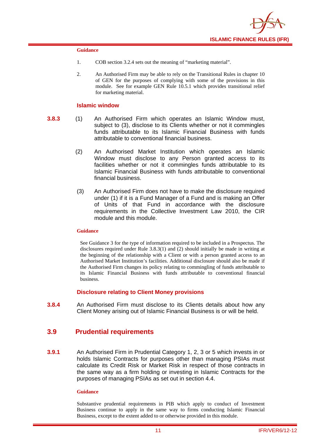

#### **Guidance**

- 1. COB section 3.2.4 sets out the meaning of "marketing material".
- 2. An Authorised Firm may be able to rely on the Transitional Rules in chapter 10 of GEN for the purposes of complying with some of the provisions in this module. See for example GEN Rule 10.5.1 which provides transitional relief for marketing material.

#### **Islamic window**

- **3.8.3** (1) An Authorised Firm which operates an Islamic Window must, subject to (3), disclose to its Clients whether or not it commingles funds attributable to its Islamic Financial Business with funds attributable to conventional financial business.
	- (2) An Authorised Market Institution which operates an Islamic Window must disclose to any Person granted access to its facilities whether or not it commingles funds attributable to its Islamic Financial Business with funds attributable to conventional financial business.
	- (3) An Authorised Firm does not have to make the disclosure required under (1) if it is a Fund Manager of a Fund and is making an Offer of Units of that Fund in accordance with the disclosure requirements in the Collective Investment Law 2010, the CIR module and this module.

#### **Guidance**

See Guidance 3 for the type of information required to be included in a Prospectus. The disclosures required under Rule 3.8.3(1) and (2) should initially be made in writing at the beginning of the relationship with a Client or with a person granted access to an Authorised Market Institution's facilities. Additional disclosure should also be made if the Authorised Firm changes its policy relating to commingling of funds attributable to its Islamic Financial Business with funds attributable to conventional financial business.

#### **Disclosure relating to Client Money provisions**

**3.8.4** An Authorised Firm must disclose to its Clients details about how any Client Money arising out of Islamic Financial Business is or will be held.

#### **3.9 Prudential requirements**

**3.9.1** An Authorised Firm in Prudential Category 1, 2, 3 or 5 which invests in or holds Islamic Contracts for purposes other than managing PSIAs must calculate its Credit Risk or Market Risk in respect of those contracts in the same way as a firm holding or investing in Islamic Contracts for the purposes of managing PSIAs as set out in section 4.4.

#### **Guidance**

Substantive prudential requirements in PIB which apply to conduct of Investment Business continue to apply in the same way to firms conducting Islamic Financial Business, except to the extent added to or otherwise provided in this module.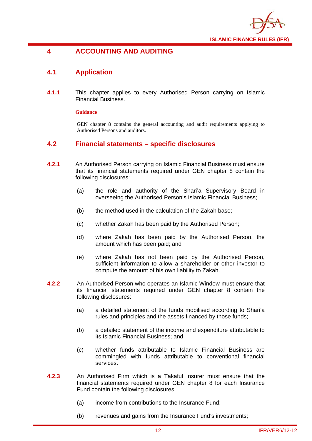

## **4 ACCOUNTING AND AUDITING**

## **4.1 Application**

**4.1.1** This chapter applies to every Authorised Person carrying on Islamic Financial Business.

#### **Guidance**

GEN chapter 8 contains the general accounting and audit requirements applying to Authorised Persons and auditors.

## **4.2 Financial statements – specific disclosures**

- **4.2.1** An Authorised Person carrying on Islamic Financial Business must ensure that its financial statements required under GEN chapter 8 contain the following disclosures:
	- (a) the role and authority of the Shari'a Supervisory Board in overseeing the Authorised Person's Islamic Financial Business;
	- (b) the method used in the calculation of the Zakah base;
	- (c) whether Zakah has been paid by the Authorised Person;
	- (d) where Zakah has been paid by the Authorised Person, the amount which has been paid; and
	- (e) where Zakah has not been paid by the Authorised Person, sufficient information to allow a shareholder or other investor to compute the amount of his own liability to Zakah.
- **4.2.2** An Authorised Person who operates an Islamic Window must ensure that its financial statements required under GEN chapter 8 contain the following disclosures:
	- (a) a detailed statement of the funds mobilised according to Shari'a rules and principles and the assets financed by those funds;
	- (b) a detailed statement of the income and expenditure attributable to its Islamic Financial Business; and
	- (c) whether funds attributable to Islamic Financial Business are commingled with funds attributable to conventional financial services.
- **4.2.3** An Authorised Firm which is a Takaful Insurer must ensure that the financial statements required under GEN chapter 8 for each Insurance Fund contain the following disclosures:
	- (a) income from contributions to the Insurance Fund;
	- (b) revenues and gains from the Insurance Fund's investments;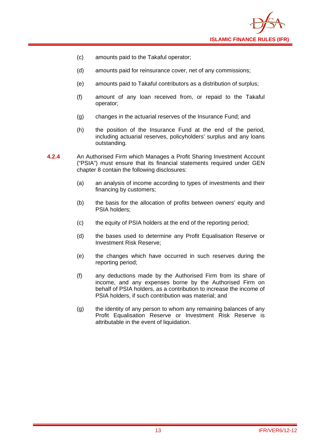

- (c) amounts paid to the Takaful operator;
- (d) amounts paid for reinsurance cover, net of any commissions;
- (e) amounts paid to Takaful contributors as a distribution of surplus;
- (f) amount of any loan received from, or repaid to the Takaful operator;
- (g) changes in the actuarial reserves of the Insurance Fund; and
- (h) the position of the Insurance Fund at the end of the period, including actuarial reserves, policyholders' surplus and any loans outstanding.
- **4.2.4** An Authorised Firm which Manages a Profit Sharing Investment Account ("PSIA") must ensure that its financial statements required under GEN chapter 8 contain the following disclosures:
	- (a) an analysis of income according to types of investments and their financing by customers;
	- (b) the basis for the allocation of profits between owners' equity and PSIA holders;
	- (c) the equity of PSIA holders at the end of the reporting period;
	- (d) the bases used to determine any Profit Equalisation Reserve or Investment Risk Reserve;
	- (e) the changes which have occurred in such reserves during the reporting period;
	- (f) any deductions made by the Authorised Firm from its share of income, and any expenses borne by the Authorised Firm on behalf of PSIA holders, as a contribution to increase the income of PSIA holders, if such contribution was material; and
	- (g) the identity of any person to whom any remaining balances of any Profit Equalisation Reserve or Investment Risk Reserve is attributable in the event of liquidation.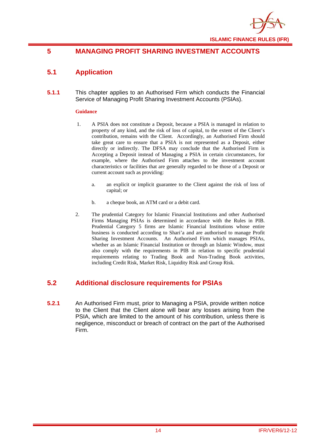

## **5 MANAGING PROFIT SHARING INVESTMENT ACCOUNTS**

## **5.1 Application**

**5.1.1** This chapter applies to an Authorised Firm which conducts the Financial Service of Managing Profit Sharing Investment Accounts (PSIAs).

#### **Guidance**

- 1. A PSIA does not constitute a Deposit, because a PSIA is managed in relation to property of any kind, and the risk of loss of capital, to the extent of the Client's contribution, remains with the Client. Accordingly, an Authorised Firm should take great care to ensure that a PSIA is not represented as a Deposit, either directly or indirectly. The DFSA may conclude that the Authorised Firm is Accepting a Deposit instead of Managing a PSIA in certain circumstances, for example, where the Authorised Firm attaches to the investment account characteristics or facilities that are generally regarded to be those of a Deposit or current account such as providing:
	- a. an explicit or implicit guarantee to the Client against the risk of loss of capital; or
	- b. a cheque book, an ATM card or a debit card.
- 2. The prudential Category for Islamic Financial Institutions and other Authorised Firms Managing PSIAs is determined in accordance with the Rules in PIB. Prudential Category 5 firms are Islamic Financial Institutions whose entire business is conducted according to Shari'a and are authorised to manage Profit Sharing Investment Accounts. An Authorised Firm which manages PSIAs, whether as an Islamic Financial Institution or through an Islamic Window, must also comply with the requirements in PIB in relation to specific prudential requirements relating to Trading Book and Non-Trading Book activities, including Credit Risk, Market Risk, Liquidity Risk and Group Risk.

## **5.2 Additional disclosure requirements for PSIAs**

**5.2.1** An Authorised Firm must, prior to Managing a PSIA, provide written notice to the Client that the Client alone will bear any losses arising from the PSIA, which are limited to the amount of his contribution, unless there is negligence, misconduct or breach of contract on the part of the Authorised Firm.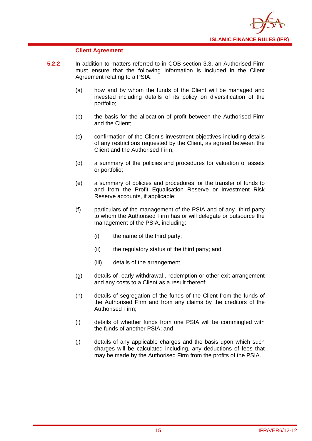

#### **Client Agreement**

- **5.2.2** In addition to matters referred to in COB section 3.3, an Authorised Firm must ensure that the following information is included in the Client Agreement relating to a PSIA:
	- (a) how and by whom the funds of the Client will be managed and invested including details of its policy on diversification of the portfolio;
	- (b) the basis for the allocation of profit between the Authorised Firm and the Client;
	- (c) confirmation of the Client's investment objectives including details of any restrictions requested by the Client, as agreed between the Client and the Authorised Firm;
	- (d) a summary of the policies and procedures for valuation of assets or portfolio;
	- (e) a summary of policies and procedures for the transfer of funds to and from the Profit Equalisation Reserve or Investment Risk Reserve accounts, if applicable;
	- (f) particulars of the management of the PSIA and of any third party to whom the Authorised Firm has or will delegate or outsource the management of the PSIA, including:
		- (i) the name of the third party;
		- (ii) the regulatory status of the third party; and
		- (iii) details of the arrangement.
	- (g) details of early withdrawal , redemption or other exit arrangement and any costs to a Client as a result thereof;
	- (h) details of segregation of the funds of the Client from the funds of the Authorised Firm and from any claims by the creditors of the Authorised Firm;
	- (i) details of whether funds from one PSIA will be commingled with the funds of another PSIA; and
	- (j) details of any applicable charges and the basis upon which such charges will be calculated including, any deductions of fees that may be made by the Authorised Firm from the profits of the PSIA.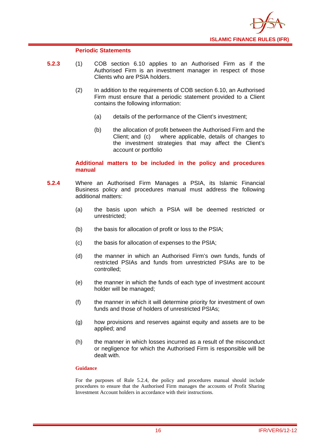

#### **Periodic Statements**

- **5.2.3** (1) COB section 6.10 applies to an Authorised Firm as if the Authorised Firm is an investment manager in respect of those Clients who are PSIA holders.
	- (2) In addition to the requirements of COB section 6.10, an Authorised Firm must ensure that a periodic statement provided to a Client contains the following information:
		- (a) details of the performance of the Client's investment;
		- (b) the allocation of profit between the Authorised Firm and the Client; and (c) where applicable, details of changes to the investment strategies that may affect the Client's account or portfolio

#### **Additional matters to be included in the policy and procedures manual**

- **5.2.4** Where an Authorised Firm Manages a PSIA, its Islamic Financial Business policy and procedures manual must address the following additional matters:
	- (a) the basis upon which a PSIA will be deemed restricted or unrestricted;
	- (b) the basis for allocation of profit or loss to the PSIA;
	- (c) the basis for allocation of expenses to the PSIA;
	- (d) the manner in which an Authorised Firm's own funds, funds of restricted PSIAs and funds from unrestricted PSIAs are to be controlled;
	- (e) the manner in which the funds of each type of investment account holder will be managed;
	- (f) the manner in which it will determine priority for investment of own funds and those of holders of unrestricted PSIAs;
	- (g) how provisions and reserves against equity and assets are to be applied; and
	- (h) the manner in which losses incurred as a result of the misconduct or negligence for which the Authorised Firm is responsible will be dealt with.

#### **Guidance**

For the purposes of Rule 5.2.4, the policy and procedures manual should include procedures to ensure that the Authorised Firm manages the accounts of Profit Sharing Investment Account holders in accordance with their instructions.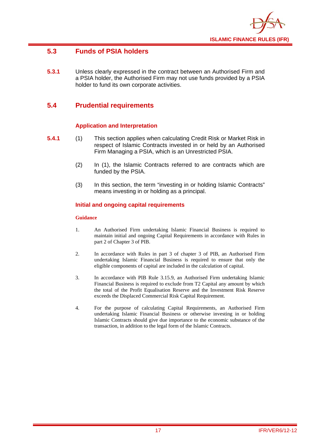

## **5.3 Funds of PSIA holders**

**5.3.1** Unless clearly expressed in the contract between an Authorised Firm and a PSIA holder, the Authorised Firm may not use funds provided by a PSIA holder to fund its own corporate activities.

## **5.4 Prudential requirements**

#### **Application and Interpretation**

- **5.4.1** (1) This section applies when calculating Credit Risk or Market Risk in respect of Islamic Contracts invested in or held by an Authorised Firm Managing a PSIA, which is an Unrestricted PSIA.
	- (2) In (1), the Islamic Contracts referred to are contracts which are funded by the PSIA.
	- (3) In this section, the term "investing in or holding Islamic Contracts" means investing in or holding as a principal.

#### **Initial and ongoing capital requirements**

#### **Guidance**

- 1. An Authorised Firm undertaking Islamic Financial Business is required to maintain initial and ongoing Capital Requirements in accordance with Rules in part 2 of Chapter 3 of PIB.
- 2. In accordance with Rules in part 3 of chapter 3 of PIB, an Authorised Firm undertaking Islamic Financial Business is required to ensure that only the eligible components of capital are included in the calculation of capital.
- 3. In accordance with PIB Rule 3.15.9, an Authorised Firm undertaking Islamic Financial Business is required to exclude from T2 Capital any amount by which the total of the Profit Equalisation Reserve and the Investment Risk Reserve exceeds the Displaced Commercial Risk Capital Requirement.
- 4. For the purpose of calculating Capital Requirements, an Authorised Firm undertaking Islamic Financial Business or otherwise investing in or holding Islamic Contracts should give due importance to the economic substance of the transaction, in addition to the legal form of the Islamic Contracts.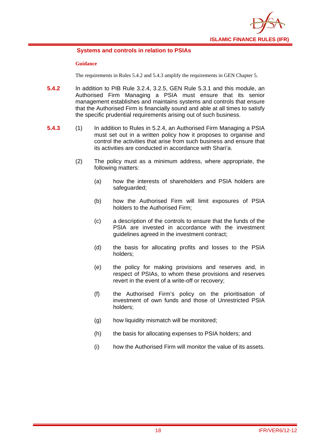

#### **Systems and controls in relation to PSIAs**

#### **Guidance**

The requirements in Rules 5.4.2 and 5.4.3 amplify the requirements in GEN Chapter 5.

- **5.4.2** In addition to PIB Rule 3.2.4, 3.2.5, GEN Rule 5.3.1 and this module, an Authorised Firm Managing a PSIA must ensure that its senior management establishes and maintains systems and controls that ensure that the Authorised Firm is financially sound and able at all times to satisfy the specific prudential requirements arising out of such business.
- **5.4.3** (1) In addition to Rules in 5.2.4, an Authorised Firm Managing a PSIA must set out in a written policy how it proposes to organise and control the activities that arise from such business and ensure that its activities are conducted in accordance with Shari'a.
	- (2) The policy must as a minimum address, where appropriate, the following matters:
		- (a) how the interests of shareholders and PSIA holders are safeguarded;
		- (b) how the Authorised Firm will limit exposures of PSIA holders to the Authorised Firm;
		- (c) a description of the controls to ensure that the funds of the PSIA are invested in accordance with the investment guidelines agreed in the investment contract;
		- (d) the basis for allocating profits and losses to the PSIA holders;
		- (e) the policy for making provisions and reserves and, in respect of PSIAs, to whom these provisions and reserves revert in the event of a write-off or recovery;
		- (f) the Authorised Firm's policy on the prioritisation of investment of own funds and those of Unrestricted PSIA holders;
		- (g) how liquidity mismatch will be monitored;
		- (h) the basis for allocating expenses to PSIA holders; and
		- (i) how the Authorised Firm will monitor the value of its assets.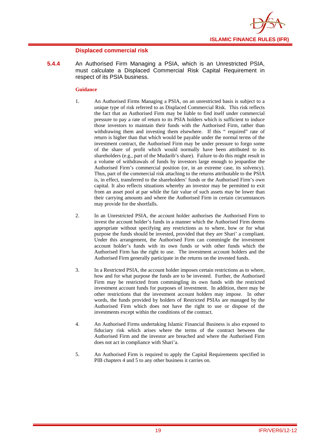

#### **Displaced commercial risk**

**5.4.4** An Authorised Firm Managing a PSIA, which is an Unrestricted PSIA, must calculate a Displaced Commercial Risk Capital Requirement in respect of its PSIA business.

#### **Guidance**

- 1. An Authorised Firms Managing a PSIA, on an unrestricted basis is subject to a unique type of risk referred to as Displaced Commercial Risk. This risk reflects the fact that an Authorised Firm may be liable to find itself under commercial pressure to pay a rate of return to its PSIA holders which is sufficient to induce those investors to maintain their funds with the Authorised Firm, rather than withdrawing them and investing them elsewhere. If this "required" rate of return is higher than that which would be payable under the normal terms of the investment contract, the Authorised Firm may be under pressure to forgo some of the share of profit which would normally have been attributed to its shareholders (e.g., part of the Mudarib's share). Failure to do this might result in a volume of withdrawals of funds by investors large enough to jeopardise the Authorised Firm's commercial position (or, in an extreme case, its solvency). Thus, part of the commercial risk attaching to the returns attributable to the PSIA is, in effect, transferred to the shareholders' funds or the Authorised Firm's own capital. It also reflects situations whereby an investor may be permitted to exit from an asset pool at par while the fair value of such assets may be lower than their carrying amounts and where the Authorised Firm in certain circumstances may provide for the shortfalls.
- 2. In an Unrestricted PSIA, the account holder authorises the Authorised Firm to invest the account holder's funds in a manner which the Authorised Firm deems appropriate without specifying any restrictions as to where, how or for what purpose the funds should be invested, provided that they are Shari' a compliant. Under this arrangement, the Authorised Firm can commingle the investment account holder's funds with its own funds or with other funds which the Authorised Firm has the right to use. The investment account holders and the Authorised Firm generally participate in the returns on the invested funds.
- 3. In a Restricted PSIA, the account holder imposes certain restrictions as to where, how and for what purpose the funds are to be invested. Further, the Authorised Firm may be restricted from commingling its own funds with the restricted investment account funds for purposes of investment. In addition, there may be other restrictions that the investment account holders may impose. In other words, the funds provided by holders of Restricted PSIAs are managed by the Authorised Firm which does not have the right to use or dispose of the investments except within the conditions of the contract.
- 4. An Authorised Firms undertaking Islamic Financial Business is also exposed to fiduciary risk which arises where the terms of the contract between the Authorised Firm and the investor are breached and where the Authorised Firm does not act in compliance with Shari'a.
- 5. An Authorised Firm is required to apply the Capital Requirements specified in PIB chapters 4 and 5 to any other business it carries on.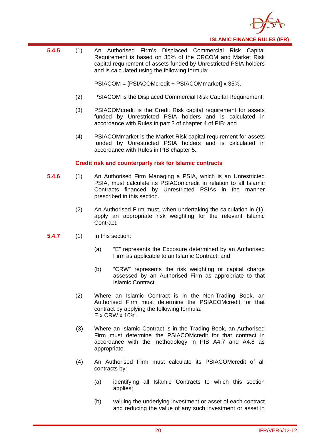

**5.4.5** (1) An Authorised Firm's Displaced Commercial Risk Capital Requirement is based on 35% of the CRCOM and Market Risk capital requirement of assets funded by Unrestricted PSIA holders and is calculated using the following formula:

PSIACOM = [PSIACOMcredit + PSIACOMmarket] x 35%.

- (2) PSIACOM is the Displaced Commercial Risk Capital Requirement;
- (3) PSIACOMcredit is the Credit Risk capital requirement for assets funded by Unrestricted PSIA holders and is calculated in accordance with Rules in part 3 of chapter 4 of PIB; and
- (4) PSIACOMmarket is the Market Risk capital requirement for assets funded by Unrestricted PSIA holders and is calculated in accordance with Rules in PIB chapter 5.

#### **Credit risk and counterparty risk for Islamic contracts**

- **5.4.6** (1) An Authorised Firm Managing a PSIA, which is an Unrestricted PSIA, must calculate its PSIAComcredit in relation to all Islamic Contracts financed by Unrestricted PSIAs in the manner prescribed in this section.
	- (2) An Authorised Firm must, when undertaking the calculation in (1), apply an appropriate risk weighting for the relevant Islamic Contract.
- **5.4.7** (1) In this section:
	- (a) "E" represents the Exposure determined by an Authorised Firm as applicable to an Islamic Contract; and
	- (b) "CRW" represents the risk weighting or capital charge assessed by an Authorised Firm as appropriate to that Islamic Contract.
	- (2) Where an Islamic Contract is in the Non-Trading Book, an Authorised Firm must determine the PSIACOMcredit for that contract by applying the following formula: E x CRW x 10%.
	- (3) Where an Islamic Contract is in the Trading Book, an Authorised Firm must determine the PSIACOMcredit for that contract in accordance with the methodology in PIB A4.7 and A4.8 as appropriate.
	- (4) An Authorised Firm must calculate its PSIACOMcredit of all contracts by:
		- (a) identifying all Islamic Contracts to which this section applies;
		- (b) valuing the underlying investment or asset of each contract and reducing the value of any such investment or asset in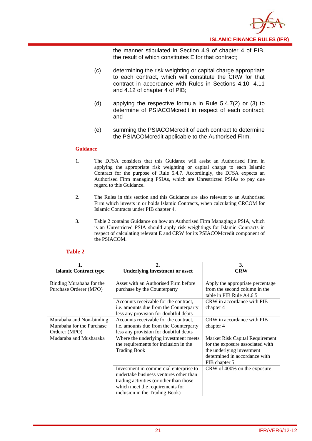

the manner stipulated in Section 4.9 of chapter 4 of PIB, the result of which constitutes E for that contract;

- (c) determining the risk weighting or capital charge appropriate to each contract, which will constitute the CRW for that contract in accordance with Rules in Sections 4.10, 4.11 and 4.12 of chapter 4 of PIB;
- (d) applying the respective formula in Rule 5.4.7(2) or (3) to determine of PSIACOMcredit in respect of each contract; and
- (e) summing the PSIACOMcredit of each contract to determine the PSIACOMcredit applicable to the Authorised Firm.

#### **Guidance**

- 1. The DFSA considers that this Guidance will assist an Authorised Firm in applying the appropriate risk weighting or capital charge to each Islamic Contract for the purpose of Rule 5.4.7. Accordingly, the DFSA expects an Authorised Firm managing PSIAs, which are Unrestricted PSIAs to pay due regard to this Guidance.
- 2. The Rules in this section and this Guidance are also relevant to an Authorised Firm which invests in or holds Islamic Contracts, when calculating CRCOM for Islamic Contracts under PIB chapter 4.
- 3. Table 2 contains Guidance on how an Authorised Firm Managing a PSIA, which is an Unrestricted PSIA should apply risk weightings for Islamic Contracts in respect of calculating relevant E and CRW for its PSIACOMcredit component of the PSIACOM.

| <b>Islamic Contract type</b>                                           | <b>Underlying investment or asset</b>                                                                                                                                                            | 3.<br><b>CRW</b>                                                                                                                                   |
|------------------------------------------------------------------------|--------------------------------------------------------------------------------------------------------------------------------------------------------------------------------------------------|----------------------------------------------------------------------------------------------------------------------------------------------------|
| Binding Murabaha for the<br>Purchase Orderer (MPO)                     | Asset with an Authorised Firm before<br>purchase by the Counterparty                                                                                                                             | Apply the appropriate percentage<br>from the second column in the<br>table in PIB Rule A4.6.5                                                      |
|                                                                        | Accounts receivable for the contract.<br><i>i.e.</i> amounts due from the Counterparty<br>less any provision for doubtful debts                                                                  | CRW in accordance with PIB<br>chapter 4                                                                                                            |
| Murabaha and Non-binding<br>Murabaha for the Purchase<br>Orderer (MPO) | Accounts receivable for the contract,<br>i.e. amounts due from the Counterparty<br>less any provision for doubtful debts                                                                         | CRW in accordance with PIB<br>chapter 4                                                                                                            |
| Mudaraba and Musharaka                                                 | Where the underlying investment meets<br>the requirements for inclusion in the<br><b>Trading Book</b>                                                                                            | Market Risk Capital Requirement<br>for the exposure associated with<br>the underlying investment<br>determined in accordance with<br>PIB chapter 5 |
|                                                                        | Investment in commercial enterprise to<br>undertake business ventures other than<br>trading activities (or other than those<br>which meet the requirements for<br>inclusion in the Trading Book) | CRW of 400% on the exposure                                                                                                                        |

#### **Table 2**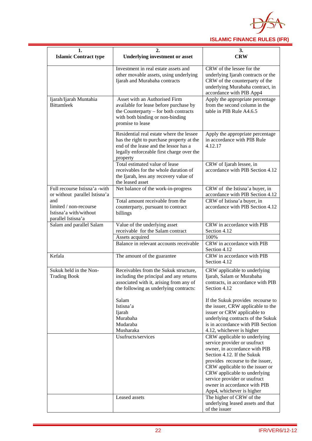

| 1.<br><b>Islamic Contract type</b>                                            | 2.<br><b>Underlying investment or asset</b>                                                                                                                                             | 3.<br><b>CRW</b>                                                                                                                                                                |
|-------------------------------------------------------------------------------|-----------------------------------------------------------------------------------------------------------------------------------------------------------------------------------------|---------------------------------------------------------------------------------------------------------------------------------------------------------------------------------|
|                                                                               | Investment in real estate assets and<br>other movable assets, using underlying<br>Ijarah and Murabaha contracts                                                                         | CRW of the lessee for the<br>underlying Ijarah contracts or the<br>CRW of the counterparty of the<br>underlying Murabaha contract, in<br>accordance with PIB App4               |
| Ijarah/Ijarah Muntahia<br><b>Bittamleek</b>                                   | Asset with an Authorised Firm<br>available for lease before purchase by<br>the Counterparty – for both contracts<br>with both binding or non-binding<br>promise to lease                | Apply the appropriate percentage<br>from the second column in the<br>table in PIB Rule A4.6.5                                                                                   |
|                                                                               | Residential real estate where the lessee<br>has the right to purchase property at the<br>end of the lease and the lessor has a<br>legally enforceable first charge over the<br>property | Apply the appropriate percentage<br>in accordance with PIB Rule<br>4.12.17                                                                                                      |
|                                                                               | Total estimated value of lease<br>receivables for the whole duration of<br>the Ijarah, less any recovery value of<br>the leased asset                                                   | CRW of Ijarah lessee, in<br>accordance with PIB Section 4.12                                                                                                                    |
| Full recourse Istisna'a -with<br>or without parallel Istisna'a                | Net balance of the work-in-progress                                                                                                                                                     | CRW of the Istisna'a buyer, in<br>accordance with PIB Section 4.12                                                                                                              |
| and<br>limited / non-recourse<br>Istisna'a with/without<br>parallel Istisna'a | Total amount receivable from the<br>counterparty, pursuant to contract<br>billings                                                                                                      | CRW of Istisna'a buyer, in<br>accordance with PIB Section 4.12                                                                                                                  |
| Salam and parallel Salam                                                      | Value of the underlying asset<br>receivable for the Salam contract                                                                                                                      | CRW in accordance with PIB<br>Section 4.12                                                                                                                                      |
|                                                                               | Assets acquired                                                                                                                                                                         | 100%                                                                                                                                                                            |
|                                                                               | Balance in relevant accounts receivable                                                                                                                                                 | CRW in accordance with PIB<br>Section 4.12                                                                                                                                      |
| Kefala                                                                        | The amount of the guarantee                                                                                                                                                             | CRW in accordance with PIB<br>Section 4.12                                                                                                                                      |
| Sukuk held in the Non-<br><b>Trading Book</b>                                 | Receivables from the Sukuk structure,<br>including the principal and any returns<br>associated with it, arising from any of<br>the following as underlying contracts:                   | CRW applicable to underlying<br>Ijarah, Salam or Murabaha<br>contracts, in accordance with PIB<br>Section 4.12                                                                  |
|                                                                               | Salam<br>Istisna'a<br>Ijarah<br>Murabaha<br>Mudaraba                                                                                                                                    | If the Sukuk provides recourse to<br>the issuer, CRW applicable to the<br>issuer or CRW applicable to<br>underlying contracts of the Sukuk<br>is in accordance with PIB Section |
|                                                                               | Musharaka<br>Usufructs/services                                                                                                                                                         | 4.12, whichever is higher<br>CRW applicable to underlying                                                                                                                       |
|                                                                               |                                                                                                                                                                                         | service provider or usufruct<br>owner, in accordance with PIB<br>Section 4.12. If the Sukuk                                                                                     |
|                                                                               |                                                                                                                                                                                         | provides recourse to the issuer,<br>CRW applicable to the issuer or<br>CRW applicable to underlying<br>service provider or usufruct<br>owner in accordance with PIB             |
|                                                                               | Leased assets                                                                                                                                                                           | App4, whichever is higher<br>The higher of CRW of the                                                                                                                           |
|                                                                               |                                                                                                                                                                                         | underlying leased assets and that<br>of the issuer                                                                                                                              |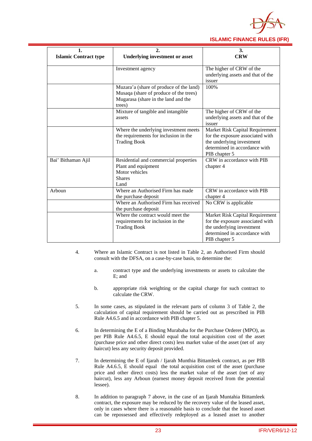

|                              | $\overline{2}$ .                                                                                                                   | 3.<br><b>CRW</b>                                                                                                                                   |  |
|------------------------------|------------------------------------------------------------------------------------------------------------------------------------|----------------------------------------------------------------------------------------------------------------------------------------------------|--|
| <b>Islamic Contract type</b> | <b>Underlying investment or asset</b>                                                                                              |                                                                                                                                                    |  |
|                              | Investment agency                                                                                                                  | The higher of CRW of the                                                                                                                           |  |
|                              |                                                                                                                                    | underlying assets and that of the<br>issuer                                                                                                        |  |
|                              | Muzara'a (share of produce of the land)<br>Musaqa (share of produce of the trees)<br>Mugarasa (share in the land and the<br>trees) | 100%                                                                                                                                               |  |
|                              | Mixture of tangible and intangible<br>assets                                                                                       | The higher of CRW of the<br>underlying assets and that of the<br>issuer                                                                            |  |
|                              | Where the underlying investment meets<br>the requirements for inclusion in the<br><b>Trading Book</b>                              | Market Risk Capital Requirement<br>for the exposure associated with<br>the underlying investment<br>determined in accordance with<br>PIB chapter 5 |  |
| Bai' Bithaman Ajil           | Residential and commercial properties<br>Plant and equipment<br>Motor vehicles<br><b>Shares</b><br>Land                            | CRW in accordance with PIB<br>chapter 4                                                                                                            |  |
| Arboun                       | Where an Authorised Firm has made<br>the purchase deposit                                                                          | CRW in accordance with PIB<br>chapter 4                                                                                                            |  |
|                              | Where an Authorised Firm has received<br>the purchase deposit                                                                      | No CRW is applicable                                                                                                                               |  |
|                              | Where the contract would meet the<br>requirements for inclusion in the<br><b>Trading Book</b>                                      | Market Risk Capital Requirement<br>for the exposure associated with<br>the underlying investment<br>determined in accordance with                  |  |
|                              |                                                                                                                                    | PIB chapter 5                                                                                                                                      |  |

- 4. Where an Islamic Contract is not listed in Table 2, an Authorised Firm should consult with the DFSA, on a case-by-case basis, to determine the:
	- a. contract type and the underlying investments or assets to calculate the E; and
	- b. appropriate risk weighting or the capital charge for such contract to calculate the CRW.
- 5. In some cases, as stipulated in the relevant parts of column 3 of Table 2, the calculation of capital requirement should be carried out as prescribed in PIB Rule A4.6.5 and in accordance with PIB chapter 5.
- 6. In determining the E of a Binding Murabaha for the Purchase Orderer (MPO), as per PIB Rule A4.6.5, E should equal the total acquisition cost of the asset (purchase price and other direct costs) less market value of the asset (net of any haircut) less any security deposit provided.
- 7. In determining the E of Ijarah / Ijarah Munthia Bittamleek contract, as per PIB Rule A4.6.5, E should equal the total acquisition cost of the asset (purchase price and other direct costs) less the market value of the asset (net of any haircut), less any Arboun (earnest money deposit received from the potential lessee).
- 8. In addition to paragraph 7 above, in the case of an Ijarah Muntahia Bittamleek contract, the exposure may be reduced by the recovery value of the leased asset, only in cases where there is a reasonable basis to conclude that the leased asset can be repossessed and effectively redeployed as a leased asset to another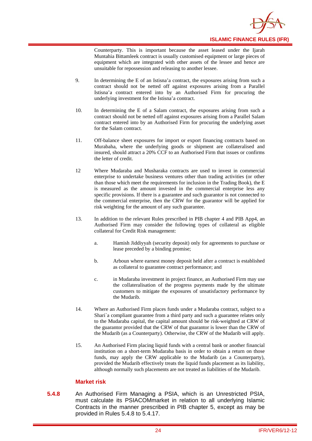

Counterparty. This is important because the asset leased under the Ijarah Muntahia Bittamleek contract is usually customised equipment or large pieces of equipment which are integrated with other assets of the lessee and hence are unsuitable for repossession and releasing to another lessee.

- 9. In determining the E of an Istisna'a contract, the exposures arising from such a contract should not be netted off against exposures arising from a Parallel Istisna'a contract entered into by an Authorised Firm for procuring the underlying investment for the Istisna'a contract.
- 10. In determining the E of a Salam contract, the exposures arising from such a contract should not be netted off against exposures arising from a Parallel Salam contract entered into by an Authorised Firm for procuring the underlying asset for the Salam contract.
- 11. Off-balance sheet exposures for import or export financing contracts based on Murabaha, where the underlying goods or shipment are collateralised and insured, should attract a 20% CCF to an Authorised Firm that issues or confirms the letter of credit.
- 12 Where Mudaraba and Musharaka contracts are used to invest in commercial enterprise to undertake business ventures other than trading activities (or other than those which meet the requirements for inclusion in the Trading Book), the E is measured as the amount invested in the commercial enterprise less any specific provisions. If there is a guarantee and such guarantor is not connected to the commercial enterprise, then the CRW for the guarantor will be applied for risk weighting for the amount of any such guarantee.
- 13. In addition to the relevant Rules prescribed in PIB chapter 4 and PIB App4, an Authorised Firm may consider the following types of collateral as eligible collateral for Credit Risk management:
	- a. Hamish Jiddiyyah (security deposit) only for agreements to purchase or lease preceded by a binding promise;
	- b. Arboun where earnest money deposit held after a contract is established as collateral to guarantee contract performance; and
	- c. in Mudaraba investment in project finance, an Authorised Firm may use the collateralisation of the progress payments made by the ultimate customers to mitigate the exposures of unsatisfactory performance by the Mudarib.
- 14. Where an Authorised Firm places funds under a Mudaraba contract, subject to a Shari`a compliant guarantee from a third party and such a guarantee relates only to the Mudaraba capital, the capital amount should be risk-weighted at CRW of the guarantor provided that the CRW of that guarantor is lower than the CRW of the Mudarib (as a Counterparty). Otherwise, the CRW of the Mudarib will apply.
- 15. An Authorised Firm placing liquid funds with a central bank or another financial institution on a short-term Mudaraba basis in order to obtain a return on those funds, may apply the CRW applicable to the Mudarib (as a Counterparty), provided the Mudarib effectively treats the liquid funds placement as its liability, although normally such placements are not treated as liabilities of the Mudarib.

#### **Market risk**

**5.4.8** An Authorised Firm Managing a PSIA, which is an Unrestricted PSIA, must calculate its PSIACOMmarket in relation to all underlying Islamic Contracts in the manner prescribed in PIB chapter 5, except as may be provided in Rules 5.4.8 to 5.4.17.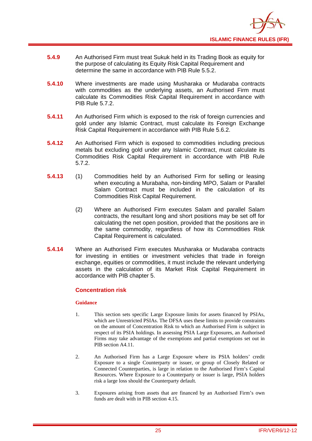

- **5.4.9** An Authorised Firm must treat Sukuk held in its Trading Book as equity for the purpose of calculating its Equity Risk Capital Requirement and determine the same in accordance with PIB Rule 5.5.2.
- **5.4.10** Where investments are made using Musharaka or Mudaraba contracts with commodities as the underlying assets, an Authorised Firm must calculate its Commodities Risk Capital Requirement in accordance with PIB Rule 5.7.2.
- **5.4.11** An Authorised Firm which is exposed to the risk of foreign currencies and gold under any Islamic Contract, must calculate its Foreign Exchange Risk Capital Requirement in accordance with PIB Rule 5.6.2.
- **5.4.12** An Authorised Firm which is exposed to commodities including precious metals but excluding gold under any Islamic Contract, must calculate its Commodities Risk Capital Requirement in accordance with PIB Rule 5.7.2.
- **5.4.13** (1) Commodities held by an Authorised Firm for selling or leasing when executing a Murabaha, non-binding MPO, Salam or Parallel Salam Contract must be included in the calculation of its Commodities Risk Capital Requirement.
	- (2) Where an Authorised Firm executes Salam and parallel Salam contracts, the resultant long and short positions may be set off for calculating the net open position, provided that the positions are in the same commodity, regardless of how its Commodities Risk Capital Requirement is calculated.
- **5.4.14** Where an Authorised Firm executes Musharaka or Mudaraba contracts for investing in entities or investment vehicles that trade in foreign exchange, equities or commodities, it must include the relevant underlying assets in the calculation of its Market Risk Capital Requirement in accordance with PIB chapter 5.

#### **Concentration risk**

#### **Guidance**

- 1. This section sets specific Large Exposure limits for assets financed by PSIAs, which are Unrestricted PSIAs. The DFSA uses these limits to provide constraints on the amount of Concentration Risk to which an Authorised Firm is subject in respect of its PSIA holdings. In assessing PSIA Large Exposures, an Authorised Firms may take advantage of the exemptions and partial exemptions set out in PIB section A4.11.
- 2. An Authorised Firm has a Large Exposure where its PSIA holders' credit Exposure to a single Counterparty or issuer, or group of Closely Related or Connected Counterparties, is large in relation to the Authorised Firm's Capital Resources. Where Exposure to a Counterparty or issuer is large, PSIA holders risk a large loss should the Counterparty default.
- 3. Exposures arising from assets that are financed by an Authorised Firm's own funds are dealt with in PIB section 4.15.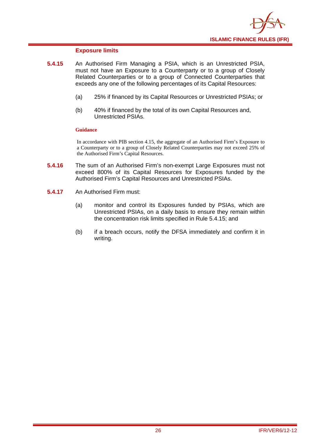

#### **Exposure limits**

- **5.4.15** An Authorised Firm Managing a PSIA, which is an Unrestricted PSIA, must not have an Exposure to a Counterparty or to a group of Closely Related Counterparties or to a group of Connected Counterparties that exceeds any one of the following percentages of its Capital Resources:
	- (a) 25% if financed by its Capital Resources or Unrestricted PSIAs; or
	- (b) 40% if financed by the total of its own Capital Resources and, Unrestricted PSIAs.

#### **Guidance**

In accordance with PIB section 4.15, the aggregate of an Authorised Firm's Exposure to a Counterparty or to a group of Closely Related Counterparties may not exceed 25% of the Authorised Firm's Capital Resources.

- **5.4.16** The sum of an Authorised Firm's non-exempt Large Exposures must not exceed 800% of its Capital Resources for Exposures funded by the Authorised Firm's Capital Resources and Unrestricted PSIAs.
- **5.4.17** An Authorised Firm must:
	- (a) monitor and control its Exposures funded by PSIAs, which are Unrestricted PSIAs, on a daily basis to ensure they remain within the concentration risk limits specified in Rule 5.4.15; and
	- (b) if a breach occurs, notify the DFSA immediately and confirm it in writing.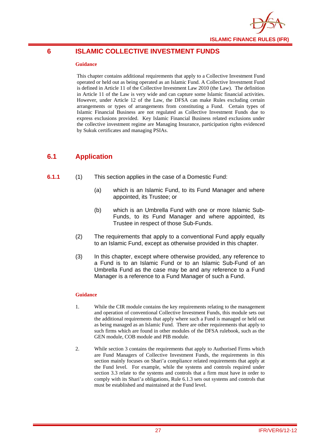

## **6 ISLAMIC COLLECTIVE INVESTMENT FUNDS**

#### **Guidance**

This chapter contains additional requirements that apply to a Collective Investment Fund operated or held out as being operated as an Islamic Fund. A Collective Investment Fund is defined in Article 11 of the Collective Investment Law 2010 (the Law). The definition in Article 11 of the Law is very wide and can capture some Islamic financial activities. However, under Article 12 of the Law, the DFSA can make Rules excluding certain arrangements or types of arrangements from constituting a Fund. Certain types of Islamic Financial Business are not regulated as Collective Investment Funds due to express exclusions provided. Key Islamic Financial Business related exclusions under the collective investment regime are Managing Insurance, participation rights evidenced by Sukuk certificates and managing PSIAs.

## **6.1 Application**

#### **6.1.1** (1) This section applies in the case of a Domestic Fund:

- (a) which is an Islamic Fund, to its Fund Manager and where appointed, its Trustee; or
- (b) which is an Umbrella Fund with one or more Islamic Sub-Funds, to its Fund Manager and where appointed, its Trustee in respect of those Sub-Funds.
- (2) The requirements that apply to a conventional Fund apply equally to an Islamic Fund, except as otherwise provided in this chapter.
- (3) In this chapter, except where otherwise provided, any reference to a Fund is to an Islamic Fund or to an Islamic Sub-Fund of an Umbrella Fund as the case may be and any reference to a Fund Manager is a reference to a Fund Manager of such a Fund.

#### **Guidance**

- 1. While the CIR module contains the key requirements relating to the management and operation of conventional Collective Investment Funds, this module sets out the additional requirements that apply where such a Fund is managed or held out as being managed as an Islamic Fund. There are other requirements that apply to such firms which are found in other modules of the DFSA rulebook, such as the GEN module, COB module and PIB module.
- 2. While section 3 contains the requirements that apply to Authorised Firms which are Fund Managers of Collective Investment Funds, the requirements in this section mainly focuses on Shari'a compliance related requirements that apply at the Fund level. For example, while the systems and controls required under section 3.3 relate to the systems and controls that a firm must have in order to comply with its Shari'a obligations, Rule 6.1.3 sets out systems and controls that must be established and maintained at the Fund level.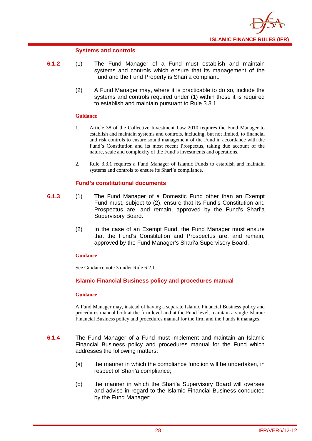

#### **Systems and controls**

- **6.1.2** (1) The Fund Manager of a Fund must establish and maintain systems and controls which ensure that its management of the Fund and the Fund Property is Shari'a compliant.
	- (2) A Fund Manager may, where it is practicable to do so, include the systems and controls required under (1) within those it is required to establish and maintain pursuant to Rule 3.3.1.

#### **Guidance**

- 1. Article 38 of the Collective Investment Law 2010 requires the Fund Manager to establish and maintain systems and controls, including, but not limited, to financial and risk controls to ensure sound management of the Fund in accordance with the Fund's Constitution and its most recent Prospectus, taking due account of the nature, scale and complexity of the Fund's investments and operations.
- 2. Rule 3.3.1 requires a Fund Manager of Islamic Funds to establish and maintain systems and controls to ensure its Shari'a compliance.

#### **Fund's constitutional documents**

- **6.1.3** (1) The Fund Manager of a Domestic Fund other than an Exempt Fund must, subject to (2), ensure that its Fund's Constitution and Prospectus are, and remain, approved by the Fund's Shari'a Supervisory Board.
	- (2) In the case of an Exempt Fund, the Fund Manager must ensure that the Fund's Constitution and Prospectus are, and remain, approved by the Fund Manager's Shari'a Supervisory Board.

#### **Guidance**

See Guidance note 3 under Rule 6.2.1.

#### **Islamic Financial Business policy and procedures manual**

#### **Guidance**

A Fund Manager may, instead of having a separate Islamic Financial Business policy and procedures manual both at the firm level and at the Fund level, maintain a single Islamic Financial Business policy and procedures manual for the firm and the Funds it manages.

- **6.1.4** The Fund Manager of a Fund must implement and maintain an Islamic Financial Business policy and procedures manual for the Fund which addresses the following matters:
	- (a) the manner in which the compliance function will be undertaken, in respect of Shari'a compliance;
	- (b) the manner in which the Shari'a Supervisory Board will oversee and advise in regard to the Islamic Financial Business conducted by the Fund Manager;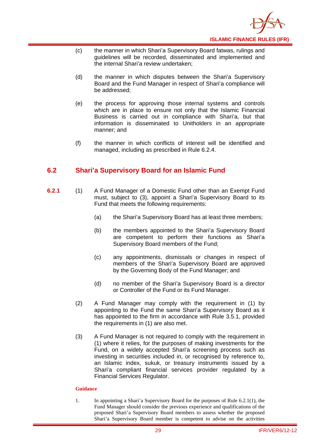

- (c) the manner in which Shari'a Supervisory Board fatwas, rulings and guidelines will be recorded, disseminated and implemented and the internal Shari'a review undertaken;
- (d) the manner in which disputes between the Shari'a Supervisory Board and the Fund Manager in respect of Shari'a compliance will be addressed;
- (e) the process for approving those internal systems and controls which are in place to ensure not only that the Islamic Financial Business is carried out in compliance with Shari'a, but that information is disseminated to Unitholders in an appropriate manner; and
- (f) the manner in which conflicts of interest will be identified and managed, including as prescribed in Rule 6.2.4.

## **6.2 Shari'a Supervisory Board for an Islamic Fund**

- **6.2.1** (1) A Fund Manager of a Domestic Fund other than an Exempt Fund must, subject to (3), appoint a Shari'a Supervisory Board to its Fund that meets the following requirements:
	- (a) the Shari'a Supervisory Board has at least three members;
	- (b) the members appointed to the Shari'a Supervisory Board are competent to perform their functions as Shari'a Supervisory Board members of the Fund;
	- (c) any appointments, dismissals or changes in respect of members of the Shari'a Supervisory Board are approved by the Governing Body of the Fund Manager; and
	- (d) no member of the Shari'a Supervisory Board is a director or Controller of the Fund or its Fund Manager.
	- (2) A Fund Manager may comply with the requirement in (1) by appointing to the Fund the same Shari'a Supervisory Board as it has appointed to the firm in accordance with Rule 3.5.1, provided the requirements in (1) are also met.
	- (3) A Fund Manager is not required to comply with the requirement in (1) where it relies, for the purposes of making investments for the Fund, on a widely accepted Shari'a screening process such as investing in securities included in, or recognised by reference to, an Islamic index, sukuk, or treasury instruments issued by a Shari'a compliant financial services provider regulated by a Financial Services Regulator.

#### **Guidance**

1. In appointing a Shari'a Supervisory Board for the purposes of Rule 6.2.1(1), the Fund Manager should consider the previous experience and qualifications of the proposed Shari'a Supervisory Board members to assess whether the proposed Shari'a Supervisory Board member is competent to advise on the activities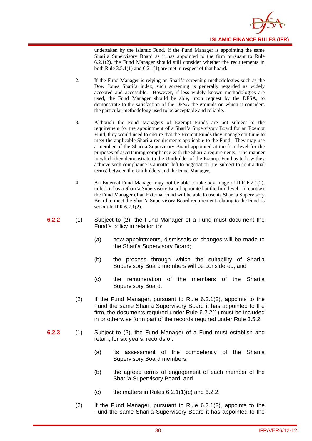

undertaken by the Islamic Fund. If the Fund Manager is appointing the same Shari'a Supervisory Board as it has appointed to the firm pursuant to Rule 6.2.1(2), the Fund Manager should still consider whether the requirements in both Rule 3.5.1(1) and 6.2.1(1) are met in respect of that board.

- 2. If the Fund Manager is relying on Shari'a screening methodologies such as the Dow Jones Shari'a index, such screening is generally regarded as widely accepted and accessible. However, if less widely known methodologies are used, the Fund Manager should be able, upon request by the DFSA, to demonstrate to the satisfaction of the DFSA the grounds on which it considers the particular methodology used to be acceptable and reliable.
- 3. Although the Fund Managers of Exempt Funds are not subject to the requirement for the appointment of a Shari'a Supervisory Board for an Exempt Fund, they would need to ensure that the Exempt Funds they manage continue to meet the applicable Shari'a requirements applicable to the Fund. They may use a member of the Shari'a Supervisory Board appointed at the firm level for the purposes of ascertaining compliance with the Shari'a requirements. The manner in which they demonstrate to the Unitholder of the Exempt Fund as to how they achieve such compliance is a matter left to negotiation (i.e. subject to contractual terms) between the Unitholders and the Fund Manager.
- 4. An External Fund Manager may not be able to take advantage of IFR 6.2.1(2), unless it has a Shari'a Supervisory Board appointed at the firm level. In contrast the Fund Manager of an External Fund will be able to use its Shari'a Supervisory Board to meet the Shari'a Supervisory Board requirement relating to the Fund as set out in IFR 6.2.1(2).
- **6.2.2** (1) Subject to (2), the Fund Manager of a Fund must document the Fund's policy in relation to:
	- (a) how appointments, dismissals or changes will be made to the Shari'a Supervisory Board;
	- (b) the process through which the suitability of Shari'a Supervisory Board members will be considered; and
	- (c) the remuneration of the members of the Shari'a Supervisory Board.
	- (2) If the Fund Manager, pursuant to Rule 6.2.1(2), appoints to the Fund the same Shari'a Supervisory Board it has appointed to the firm, the documents required under Rule 6.2.2(1) must be included in or otherwise form part of the records required under Rule 3.5.2.
- **6.2.3** (1) Subject to (2), the Fund Manager of a Fund must establish and retain, for six years, records of:
	- (a) its assessment of the competency of the Shari'a Supervisory Board members;
	- (b) the agreed terms of engagement of each member of the Shari'a Supervisory Board; and
	- (c) the matters in Rules  $6.2.1(1)(c)$  and  $6.2.2$ .
	- (2) If the Fund Manager, pursuant to Rule 6.2.1(2), appoints to the Fund the same Shari'a Supervisory Board it has appointed to the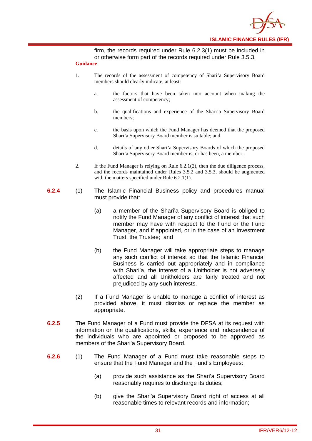

firm, the records required under Rule 6.2.3(1) must be included in or otherwise form part of the records required under Rule 3.5.3. **Guidance** 

- 1. The records of the assessment of competency of Shari'a Supervisory Board members should clearly indicate, at least:
	- a. the factors that have been taken into account when making the assessment of competency;
	- b. the qualifications and experience of the Shari'a Supervisory Board members;
	- c. the basis upon which the Fund Manager has deemed that the proposed Shari'a Supervisory Board member is suitable; and
	- d. details of any other Shari'a Supervisory Boards of which the proposed Shari'a Supervisory Board member is, or has been, a member.
- 2. If the Fund Manager is relying on Rule 6.2.1(2), then the due diligence process, and the records maintained under Rules 3.5.2 and 3.5.3, should be augmented with the matters specified under Rule 6.2.1(1).
- **6.2.4** (1) The Islamic Financial Business policy and procedures manual must provide that:
	- (a) a member of the Shari'a Supervisory Board is obliged to notify the Fund Manager of any conflict of interest that such member may have with respect to the Fund or the Fund Manager, and if appointed, or in the case of an Investment Trust, the Trustee; and
	- (b) the Fund Manager will take appropriate steps to manage any such conflict of interest so that the Islamic Financial Business is carried out appropriately and in compliance with Shari'a, the interest of a Unitholder is not adversely affected and all Unitholders are fairly treated and not prejudiced by any such interests.
	- (2) If a Fund Manager is unable to manage a conflict of interest as provided above, it must dismiss or replace the member as appropriate.
- **6.2.5** The Fund Manager of a Fund must provide the DFSA at its request with information on the qualifications, skills, experience and independence of the individuals who are appointed or proposed to be approved as members of the Shari'a Supervisory Board.
- **6.2.6** (1) The Fund Manager of a Fund must take reasonable steps to ensure that the Fund Manager and the Fund's Employees:
	- (a) provide such assistance as the Shari'a Supervisory Board reasonably requires to discharge its duties;
	- (b) give the Shari'a Supervisory Board right of access at all reasonable times to relevant records and information;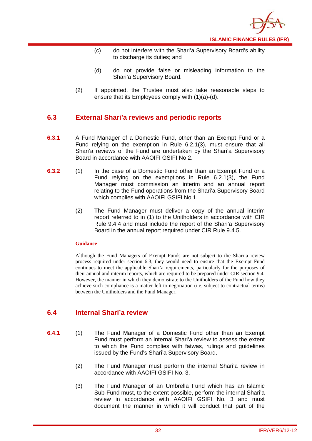

- (c) do not interfere with the Shari'a Supervisory Board's ability to discharge its duties; and
- (d) do not provide false or misleading information to the Shari'a Supervisory Board.
- (2) If appointed, the Trustee must also take reasonable steps to ensure that its Employees comply with (1)(a)-(d).

## **6.3 External Shari'a reviews and periodic reports**

- **6.3.1** A Fund Manager of a Domestic Fund, other than an Exempt Fund or a Fund relying on the exemption in Rule 6.2.1(3), must ensure that all Shari'a reviews of the Fund are undertaken by the Shari'a Supervisory Board in accordance with AAOIFI GSIFI No 2.
- **6.3.2** (1) In the case of a Domestic Fund other than an Exempt Fund or a Fund relying on the exemptions in Rule 6.2.1(3), the Fund Manager must commission an interim and an annual report relating to the Fund operations from the Shari'a Supervisory Board which complies with AAOIFI GSIFI No 1.
	- (2) The Fund Manager must deliver a copy of the annual interim report referred to in (1) to the Unitholders in accordance with CIR Rule 9.4.4 and must include the report of the Shari'a Supervisory Board in the annual report required under CIR Rule 9.4.5.

#### **Guidance**

Although the Fund Managers of Exempt Funds are not subject to the Shari'a review process required under section 6.3, they would need to ensure that the Exempt Fund continues to meet the applicable Shari'a requirements, particularly for the purposes of their annual and interim reports, which are required to be prepared under CIR section 9.4. However, the manner in which they demonstrate to the Unitholders of the Fund how they achieve such compliance is a matter left to negotiation (i.e. subject to contractual terms) between the Unitholders and the Fund Manager.

## **6.4 Internal Shari'a review**

- **6.4.1** (1) The Fund Manager of a Domestic Fund other than an Exempt Fund must perform an internal Shari'a review to assess the extent to which the Fund complies with fatwas, rulings and guidelines issued by the Fund's Shari'a Supervisory Board.
	- (2) The Fund Manager must perform the internal Shari'a review in accordance with AAOIFI GSIFI No. 3.
	- (3) The Fund Manager of an Umbrella Fund which has an Islamic Sub-Fund must, to the extent possible, perform the internal Shari'a review in accordance with AAOIFI GSIFI No. 3 and must document the manner in which it will conduct that part of the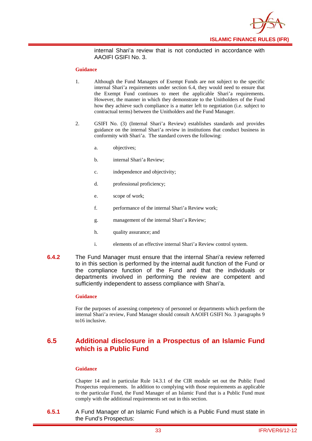

internal Shari'a review that is not conducted in accordance with AAOIFI GSIFI No. 3.

#### **Guidance**

- 1. Although the Fund Managers of Exempt Funds are not subject to the specific internal Shari'a requirements under section 6.4, they would need to ensure that the Exempt Fund continues to meet the applicable Shari'a requirements. However, the manner in which they demonstrate to the Unitholders of the Fund how they achieve such compliance is a matter left to negotiation (i.e. subject to contractual terms) between the Unitholders and the Fund Manager.
- 2. GSIFI No. (3) (Internal Shari'a Review) establishes standards and provides guidance on the internal Shari'a review in institutions that conduct business in conformity with Shari'a. The standard covers the following:
	- a. objectives;
	- b. internal Shari'a Review;
	- c. independence and objectivity;
	- d. professional proficiency;
	- e. scope of work;
	- f. performance of the internal Shari'a Review work;
	- g. management of the internal Shari'a Review;
	- h. quality assurance; and
	- i. elements of an effective internal Shari'a Review control system.
- **6.4.2** The Fund Manager must ensure that the internal Shari'a review referred to in this section is performed by the internal audit function of the Fund or the compliance function of the Fund and that the individuals or departments involved in performing the review are competent and sufficiently independent to assess compliance with Shari'a.

#### **Guidance**

For the purposes of assessing competency of personnel or departments which perform the internal Shari'a review, Fund Manager should consult AAOIFI GSIFI No. 3 paragraphs 9 to16 inclusive.

## **6.5 Additional disclosure in a Prospectus of an Islamic Fund which is a Public Fund**

#### **Guidance**

Chapter 14 and in particular Rule 14.3.1 of the CIR module set out the Public Fund Prospectus requirements. In addition to complying with those requirements as applicable to the particular Fund, the Fund Manager of an Islamic Fund that is a Public Fund must comply with the additional requirements set out in this section.

**6.5.1** A Fund Manager of an Islamic Fund which is a Public Fund must state in the Fund's Prospectus: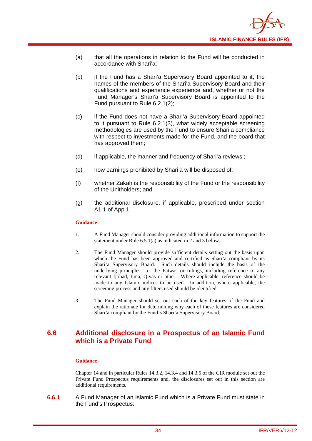

- (a) that all the operations in relation to the Fund will be conducted in accordance with Shari'a;
- (b) if the Fund has a Shari'a Supervisory Board appointed to it, the names of the members of the Shari'a Supervisory Board and their qualifications and experience experience and, whether or not the Fund Manager's Shari'a Supervisory Board is appointed to the Fund pursuant to Rule 6.2.1(2);
- (c) if the Fund does not have a Shari'a Supervisory Board appointed to it pursuant to Rule 6.2.1(3), what widely acceptable screening methodologies are used by the Fund to ensure Shari'a compliance with respect to investments made for the Fund, and the board that has approved them;
- (d) if applicable, the manner and frequency of Shari'a reviews ;
- (e) how earnings prohibited by Shari'a will be disposed of;
- (f) whether Zakah is the responsibility of the Fund or the responsibility of the Unitholders; and
- (g) the additional disclosure, if applicable, prescribed under section A1.1 of App 1.

#### **Guidance**

- 1. A Fund Manager should consider providing additional information to support the statement under Rule 6.5.1(a) as indicated in 2 and 3 below.
- 2. The Fund Manager should provide sufficient details setting out the basis upon which the Fund has been approved and certified as Shari'a compliant by its Shari'a Supervisory Board. Such details should include the basis of the underlying principles, i.e. the Fatwas or rulings, including reference to any relevant Ijtihad, Ijma, Qiyas or other. Where applicable, reference should be made to any Islamic indices to be used. In addition, where applicable, the screening process and any filters used should be identified.
- 3. The Fund Manager should set out each of the key features of the Fund and explain the rationale for determining why each of these features are considered Shari'a compliant by the Fund's Shari'a Supervisory Board.

## **6.6 Additional disclosure in a Prospectus of an Islamic Fund which is a Private Fund**

#### **Guidance**

Chapter 14 and in particular Rules 14.3.2, 14.3.4 and 14.3.5 of the CIR module set out the Private Fund Prospectus requirements and, the disclosures set out in this section are additional requirements.

**6.6.1** A Fund Manager of an Islamic Fund which is a Private Fund must state in the Fund's Prospectus: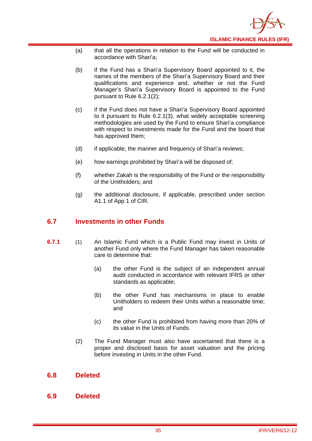

- (a) that all the operations in relation to the Fund will be conducted in accordance with Shari'a;
- (b) if the Fund has a Shari'a Supervisory Board appointed to it, the names of the members of the Shari'a Supervisory Board and their qualifications and experience and, whether or not the Fund Manager's Shari'a Supervisory Board is appointed to the Fund pursuant to Rule 6.2.1(2);
- (c) if the Fund does not have a Shari'a Supervisory Board appointed to it pursuant to Rule 6.2.1(3), what widely acceptable screening methodologies are used by the Fund to ensure Shari'a compliance with respect to investments made for the Fund and the board that has approved them;
- (d) if applicable, the manner and frequency of Shari'a reviews;
- (e) how earnings prohibited by Shari'a will be disposed of;
- (f) whether Zakah is the responsibility of the Fund or the responsibility of the Unitholders; and
- (g) the additional disclosure, if applicable, prescribed under section A1.1 of App 1 of CIR.

## **6.7 Investments in other Funds**

- **6.7.1** (1) An Islamic Fund which is a Public Fund may invest in Units of another Fund only where the Fund Manager has taken reasonable care to determine that:
	- (a) the other Fund is the subject of an independent annual audit conducted in accordance with relevant IFRS or other standards as applicable;
	- (b) the other Fund has mechanisms in place to enable Unitholders to redeem their Units within a reasonable time; and
	- (c) the other Fund is prohibited from having more than 20% of its value in the Units of Funds.
	- (2) The Fund Manager must also have ascertained that there is a proper and disclosed basis for asset valuation and the pricing before investing in Units in the other Fund.

## **6.8 Deleted**

## **6.9 Deleted**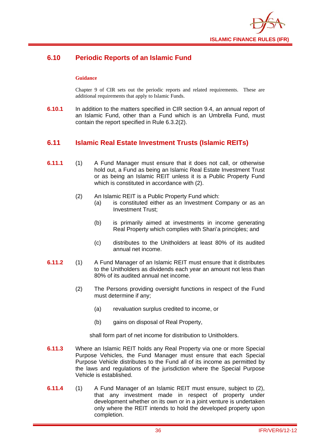

## **6.10 Periodic Reports of an Islamic Fund**

#### **Guidance**

Chapter 9 of CIR sets out the periodic reports and related requirements. These are additional requirements that apply to Islamic Funds.

**6.10.1** In addition to the matters specified in CIR section 9.4, an annual report of an Islamic Fund, other than a Fund which is an Umbrella Fund, must contain the report specified in Rule 6.3.2(2).

## **6.11 Islamic Real Estate Investment Trusts (Islamic REITs)**

- **6.11.1** (1) A Fund Manager must ensure that it does not call, or otherwise hold out, a Fund as being an Islamic Real Estate Investment Trust or as being an Islamic REIT unless it is a Public Property Fund which is constituted in accordance with (2).
	- (2) An Islamic REIT is a Public Property Fund which:
		- (a) is constituted either as an Investment Company or as an Investment Trust;
		- (b) is primarily aimed at investments in income generating Real Property which complies with Shari'a principles; and
		- (c) distributes to the Unitholders at least 80% of its audited annual net income.
- **6.11.2** (1) A Fund Manager of an Islamic REIT must ensure that it distributes to the Unitholders as dividends each year an amount not less than 80% of its audited annual net income.
	- (2) The Persons providing oversight functions in respect of the Fund must determine if any;
		- (a) revaluation surplus credited to income, or
		- (b) gains on disposal of Real Property,

shall form part of net income for distribution to Unitholders.

- **6.11.3** Where an Islamic REIT holds any Real Property via one or more Special Purpose Vehicles, the Fund Manager must ensure that each Special Purpose Vehicle distributes to the Fund all of its income as permitted by the laws and regulations of the jurisdiction where the Special Purpose Vehicle is established.
- **6.11.4** (1) A Fund Manager of an Islamic REIT must ensure, subject to (2), that any investment made in respect of property under development whether on its own or in a joint venture is undertaken only where the REIT intends to hold the developed property upon completion.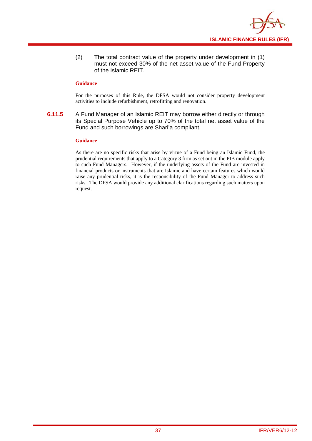

(2) The total contract value of the property under development in (1) must not exceed 30% of the net asset value of the Fund Property of the Islamic REIT.

#### **Guidance**

For the purposes of this Rule, the DFSA would not consider property development activities to include refurbishment, retrofitting and renovation.

**6.11.5** A Fund Manager of an Islamic REIT may borrow either directly or through its Special Purpose Vehicle up to 70% of the total net asset value of the Fund and such borrowings are Shari'a compliant.

#### **Guidance**

As there are no specific risks that arise by virtue of a Fund being an Islamic Fund, the prudential requirements that apply to a Category 3 firm as set out in the PIB module apply to such Fund Managers. However, if the underlying assets of the Fund are invested in financial products or instruments that are Islamic and have certain features which would raise any prudential risks, it is the responsibility of the Fund Manager to address such risks. The DFSA would provide any additional clarifications regarding such matters upon request.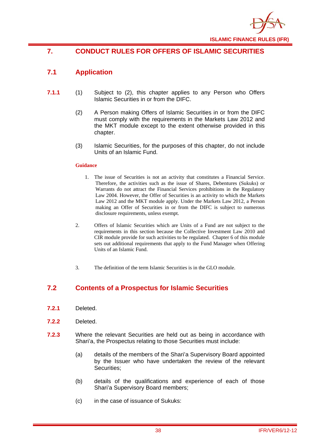

## **7. CONDUCT RULES FOR OFFERS OF ISLAMIC SECURITIES**

## **7.1 Application**

- **7.1.1** (1) Subject to (2), this chapter applies to any Person who Offers Islamic Securities in or from the DIFC.
	- (2) A Person making Offers of Islamic Securities in or from the DIFC must comply with the requirements in the Markets Law 2012 and the MKT module except to the extent otherwise provided in this chapter.
	- (3) Islamic Securities, for the purposes of this chapter, do not include Units of an Islamic Fund.

#### **Guidance**

- 1. The issue of Securities is not an activity that constitutes a Financial Service. Therefore, the activities such as the issue of Shares, Debentures (Sukuks) or Warrants do not attract the Financial Services prohibitions in the Regulatory Law 2004. However, the Offer of Securities is an activity to which the Markets Law 2012 and the MKT module apply. Under the Markets Law 2012, a Person making an Offer of Securities in or from the DIFC is subject to numerous disclosure requirements, unless exempt.
- 2. Offers of Islamic Securities which are Units of a Fund are not subject to the requirements in this section because the Collective Investment Law 2010 and CIR module provide for such activities to be regulated. Chapter 6 of this module sets out additional requirements that apply to the Fund Manager when Offering Units of an Islamic Fund.
- 3. The definition of the term Islamic Securities is in the GLO module.

## **7.2 Contents of a Prospectus for Islamic Securities**

- **7.2.1** Deleted.
- **7.2.2** Deleted.
- **7.2.3** Where the relevant Securities are held out as being in accordance with Shari'a, the Prospectus relating to those Securities must include:
	- (a) details of the members of the Shari'a Supervisory Board appointed by the Issuer who have undertaken the review of the relevant Securities;
	- (b) details of the qualifications and experience of each of those Shari'a Supervisory Board members;
	- (c) in the case of issuance of Sukuks: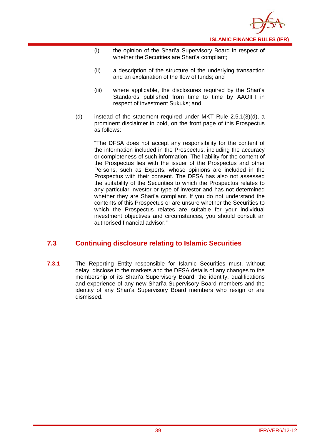

- (i) the opinion of the Shari'a Supervisory Board in respect of whether the Securities are Shari'a compliant;
- (ii) a description of the structure of the underlying transaction and an explanation of the flow of funds; and
- (iii) where applicable, the disclosures required by the Shari'a Standards published from time to time by AAOIFI in respect of investment Sukuks; and
- (d) instead of the statement required under MKT Rule 2.5.1(3)(d), a prominent disclaimer in bold, on the front page of this Prospectus as follows:

"The DFSA does not accept any responsibility for the content of the information included in the Prospectus, including the accuracy or completeness of such information. The liability for the content of the Prospectus lies with the issuer of the Prospectus and other Persons, such as Experts, whose opinions are included in the Prospectus with their consent. The DFSA has also not assessed the suitability of the Securities to which the Prospectus relates to any particular investor or type of investor and has not determined whether they are Shari'a compliant. If you do not understand the contents of this Prospectus or are unsure whether the Securities to which the Prospectus relates are suitable for your individual investment objectives and circumstances, you should consult an authorised financial advisor."

## **7.3 Continuing disclosure relating to Islamic Securities**

**7.3.1** The Reporting Entity responsible for Islamic Securities must, without delay, disclose to the markets and the DFSA details of any changes to the membership of its Shari'a Supervisory Board, the identity, qualifications and experience of any new Shari'a Supervisory Board members and the identity of any Shari'a Supervisory Board members who resign or are dismissed.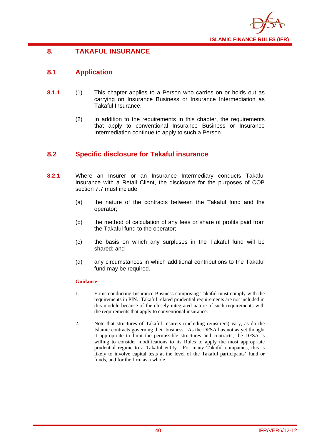

## **8. TAKAFUL INSURANCE**

## **8.1 Application**

- **8.1.1** (1) This chapter applies to a Person who carries on or holds out as carrying on Insurance Business or Insurance Intermediation as Takaful Insurance.
	- (2) In addition to the requirements in this chapter, the requirements that apply to conventional Insurance Business or Insurance Intermediation continue to apply to such a Person.

## **8.2 Specific disclosure for Takaful insurance**

- **8.2.1** Where an Insurer or an Insurance Intermediary conducts Takaful Insurance with a Retail Client, the disclosure for the purposes of COB section 7.7 must include:
	- (a) the nature of the contracts between the Takaful fund and the operator;
	- (b) the method of calculation of any fees or share of profits paid from the Takaful fund to the operator;
	- (c) the basis on which any surpluses in the Takaful fund will be shared; and
	- (d) any circumstances in which additional contributions to the Takaful fund may be required.

#### **Guidance**

- 1. Firms conducting Insurance Business comprising Takaful must comply with the requirements in PIN. Takaful related prudential requirements are not included in this module because of the closely integrated nature of such requirements with the requirements that apply to conventional insurance.
- 2. Note that structures of Takaful Insurers (including reinsurers) vary, as do the Islamic contracts governing their business. As the DFSA has not as yet thought it appropriate to limit the permissible structures and contracts, the DFSA is willing to consider modifications to its Rules to apply the most appropriate prudential regime to a Takaful entity. For many Takaful companies, this is likely to involve capital tests at the level of the Takaful participants' fund or funds, and for the firm as a whole.